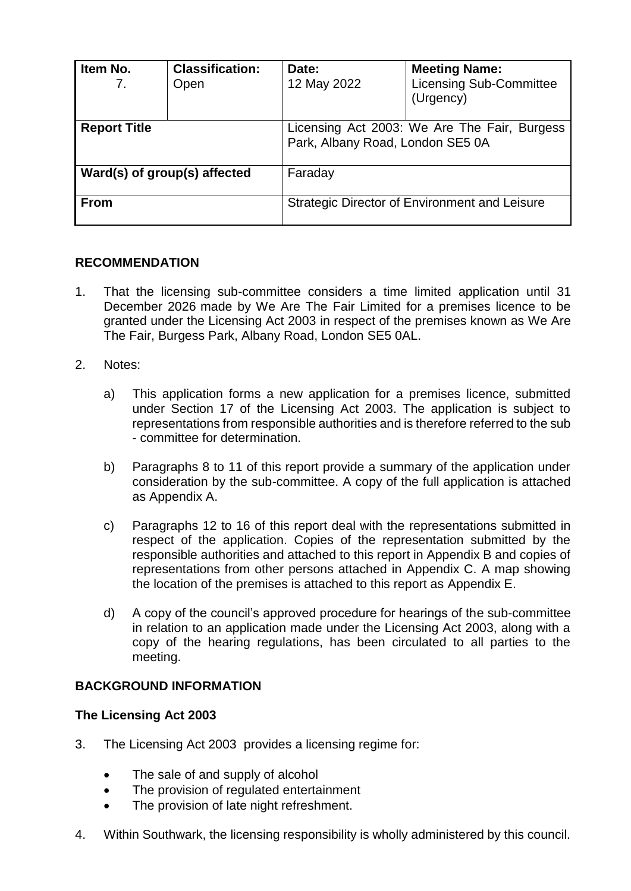| Item No.<br>7.               | <b>Classification:</b><br>Open | Date:<br>12 May 2022                                                             | <b>Meeting Name:</b><br><b>Licensing Sub-Committee</b><br>(Urgency) |
|------------------------------|--------------------------------|----------------------------------------------------------------------------------|---------------------------------------------------------------------|
| <b>Report Title</b>          |                                | Licensing Act 2003: We Are The Fair, Burgess<br>Park, Albany Road, London SE5 0A |                                                                     |
| Ward(s) of group(s) affected |                                | Faraday                                                                          |                                                                     |
| <b>From</b>                  |                                | Strategic Director of Environment and Leisure                                    |                                                                     |

## **RECOMMENDATION**

- 1. That the licensing sub-committee considers a time limited application until 31 December 2026 made by We Are The Fair Limited for a premises licence to be granted under the Licensing Act 2003 in respect of the premises known as We Are The Fair, Burgess Park, Albany Road, London SE5 0AL.
- 2. Notes:
	- a) This application forms a new application for a premises licence, submitted under Section 17 of the Licensing Act 2003. The application is subject to representations from responsible authorities and is therefore referred to the sub - committee for determination.
	- b) Paragraphs 8 to 11 of this report provide a summary of the application under consideration by the sub-committee. A copy of the full application is attached as Appendix A.
	- c) Paragraphs 12 to 16 of this report deal with the representations submitted in respect of the application. Copies of the representation submitted by the responsible authorities and attached to this report in Appendix B and copies of representations from other persons attached in Appendix C. A map showing the location of the premises is attached to this report as Appendix E.
	- d) A copy of the council's approved procedure for hearings of the sub-committee in relation to an application made under the Licensing Act 2003, along with a copy of the hearing regulations, has been circulated to all parties to the meeting.

## **BACKGROUND INFORMATION**

## **The Licensing Act 2003**

- 3. The Licensing Act 2003 provides a licensing regime for:
	- The sale of and supply of alcohol
	- The provision of regulated entertainment
	- The provision of late night refreshment.
- 4. Within Southwark, the licensing responsibility is wholly administered by this council.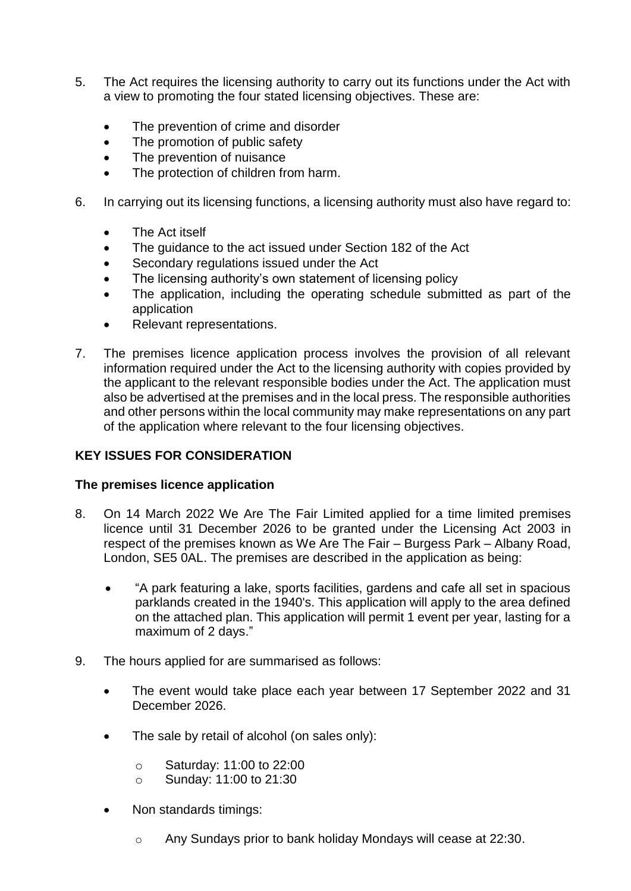- 5. The Act requires the licensing authority to carry out its functions under the Act with a view to promoting the four stated licensing objectives. These are:
	- The prevention of crime and disorder
	- The promotion of public safety
	- The prevention of nuisance
	- The protection of children from harm.
- 6. In carrying out its licensing functions, a licensing authority must also have regard to:
	- The Act itself
	- The guidance to the act issued under Section 182 of the Act
	- Secondary regulations issued under the Act
	- The licensing authority's own statement of licensing policy
	- The application, including the operating schedule submitted as part of the application
	- Relevant representations.
- 7. The premises licence application process involves the provision of all relevant information required under the Act to the licensing authority with copies provided by the applicant to the relevant responsible bodies under the Act. The application must also be advertised at the premises and in the local press. The responsible authorities and other persons within the local community may make representations on any part of the application where relevant to the four licensing objectives.

# **KEY ISSUES FOR CONSIDERATION**

# **The premises licence application**

- 8. On 14 March 2022 We Are The Fair Limited applied for a time limited premises licence until 31 December 2026 to be granted under the Licensing Act 2003 in respect of the premises known as We Are The Fair – Burgess Park – Albany Road, London, SE5 0AL. The premises are described in the application as being:
	- "A park featuring a lake, sports facilities, gardens and cafe all set in spacious parklands created in the 1940's. This application will apply to the area defined on the attached plan. This application will permit 1 event per year, lasting for a maximum of 2 days."
- 9. The hours applied for are summarised as follows:
	- The event would take place each year between 17 September 2022 and 31 December 2026.
	- The sale by retail of alcohol (on sales only):
		- o Saturday: 11:00 to 22:00
		- o Sunday: 11:00 to 21:30
	- Non standards timings:
		- o Any Sundays prior to bank holiday Mondays will cease at 22:30.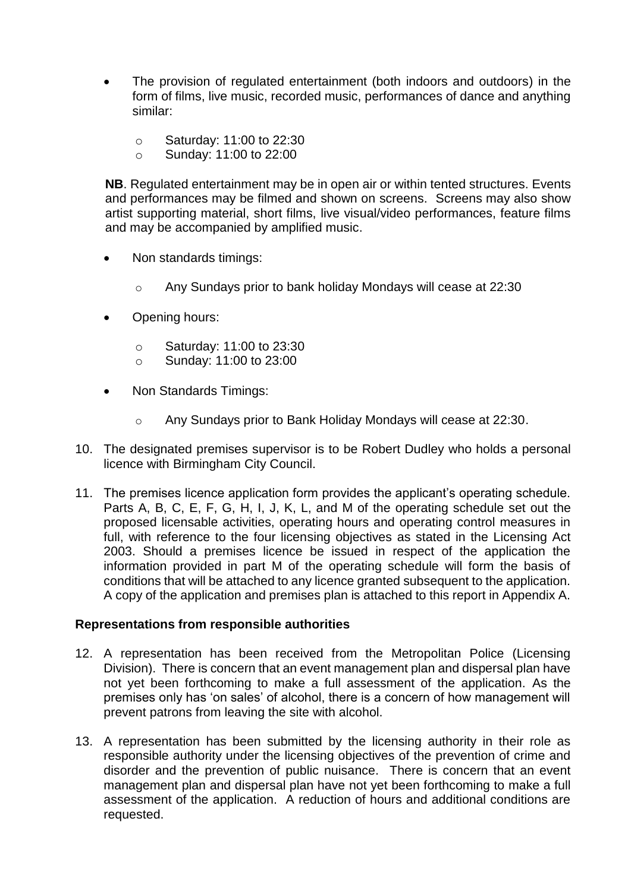- The provision of regulated entertainment (both indoors and outdoors) in the form of films, live music, recorded music, performances of dance and anything similar:
	- o Saturday: 11:00 to 22:30
	- o Sunday: 11:00 to 22:00

**NB**. Regulated entertainment may be in open air or within tented structures. Events and performances may be filmed and shown on screens. Screens may also show artist supporting material, short films, live visual/video performances, feature films and may be accompanied by amplified music.

- Non standards timings:
	- o Any Sundays prior to bank holiday Mondays will cease at 22:30
- Opening hours:
	- o Saturday: 11:00 to 23:30
	- o Sunday: 11:00 to 23:00
- Non Standards Timings:
	- o Any Sundays prior to Bank Holiday Mondays will cease at 22:30.
- 10. The designated premises supervisor is to be Robert Dudley who holds a personal licence with Birmingham City Council.
- 11. The premises licence application form provides the applicant's operating schedule. Parts A, B, C, E, F, G, H, I, J, K, L, and M of the operating schedule set out the proposed licensable activities, operating hours and operating control measures in full, with reference to the four licensing objectives as stated in the Licensing Act 2003. Should a premises licence be issued in respect of the application the information provided in part M of the operating schedule will form the basis of conditions that will be attached to any licence granted subsequent to the application. A copy of the application and premises plan is attached to this report in Appendix A.

## **Representations from responsible authorities**

- 12. A representation has been received from the Metropolitan Police (Licensing Division). There is concern that an event management plan and dispersal plan have not yet been forthcoming to make a full assessment of the application. As the premises only has 'on sales' of alcohol, there is a concern of how management will prevent patrons from leaving the site with alcohol.
- 13. A representation has been submitted by the licensing authority in their role as responsible authority under the licensing objectives of the prevention of crime and disorder and the prevention of public nuisance. There is concern that an event management plan and dispersal plan have not yet been forthcoming to make a full assessment of the application. A reduction of hours and additional conditions are requested.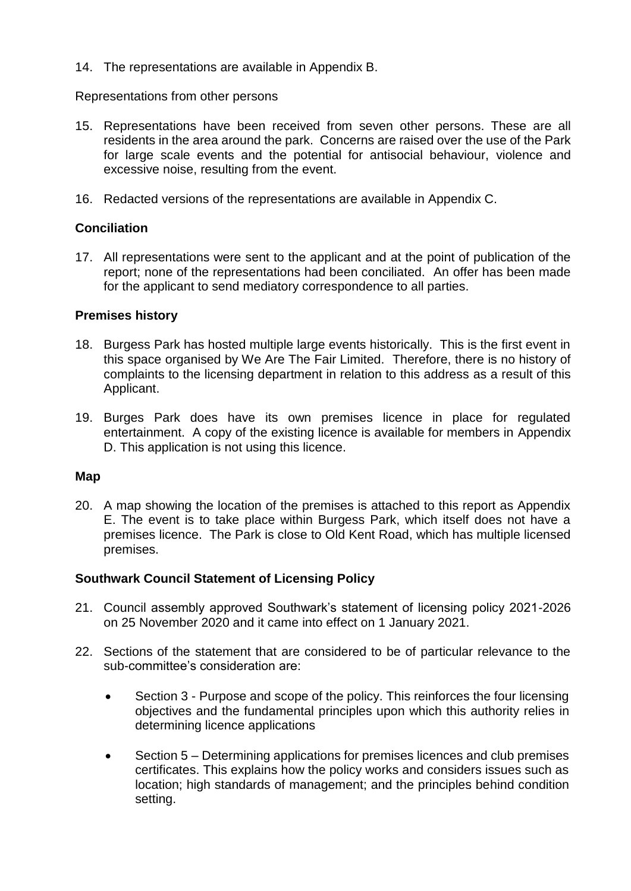14. The representations are available in Appendix B.

## Representations from other persons

- 15. Representations have been received from seven other persons. These are all residents in the area around the park. Concerns are raised over the use of the Park for large scale events and the potential for antisocial behaviour, violence and excessive noise, resulting from the event.
- 16. Redacted versions of the representations are available in Appendix C.

# **Conciliation**

17. All representations were sent to the applicant and at the point of publication of the report; none of the representations had been conciliated. An offer has been made for the applicant to send mediatory correspondence to all parties.

## **Premises history**

- 18. Burgess Park has hosted multiple large events historically. This is the first event in this space organised by We Are The Fair Limited.Therefore, there is no history of complaints to the licensing department in relation to this address as a result of this Applicant.
- 19. Burges Park does have its own premises licence in place for regulated entertainment. A copy of the existing licence is available for members in Appendix D. This application is not using this licence.

## **Map**

20. A map showing the location of the premises is attached to this report as Appendix E. The event is to take place within Burgess Park, which itself does not have a premises licence. The Park is close to Old Kent Road, which has multiple licensed premises.

# **Southwark Council Statement of Licensing Policy**

- 21. Council assembly approved Southwark's statement of licensing policy 2021-2026 on 25 November 2020 and it came into effect on 1 January 2021.
- 22. Sections of the statement that are considered to be of particular relevance to the sub-committee's consideration are:
	- Section 3 Purpose and scope of the policy. This reinforces the four licensing objectives and the fundamental principles upon which this authority relies in determining licence applications
	- Section 5 Determining applications for premises licences and club premises certificates. This explains how the policy works and considers issues such as location; high standards of management; and the principles behind condition setting.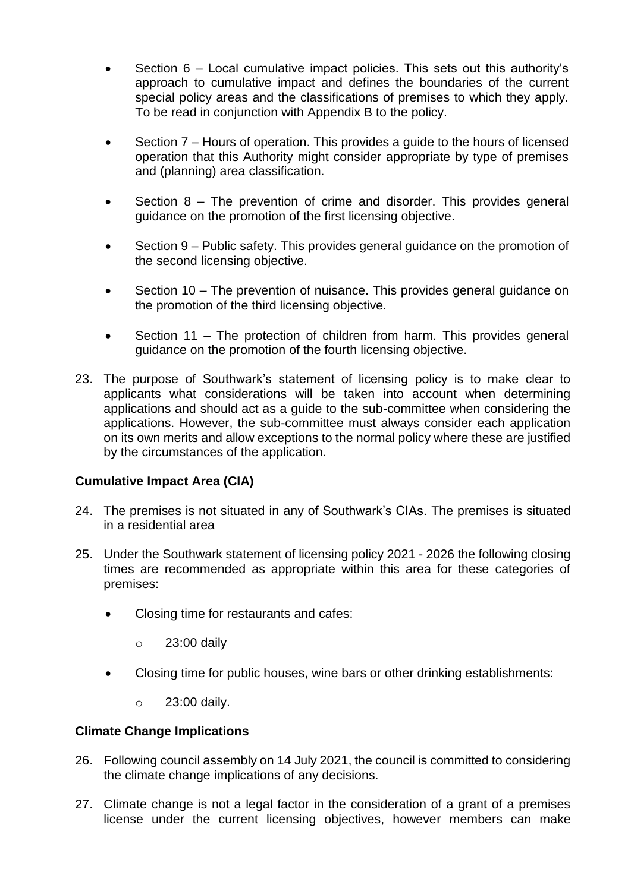- Section 6 Local cumulative impact policies. This sets out this authority's approach to cumulative impact and defines the boundaries of the current special policy areas and the classifications of premises to which they apply. To be read in conjunction with Appendix B to the policy.
- Section 7 Hours of operation. This provides a guide to the hours of licensed operation that this Authority might consider appropriate by type of premises and (planning) area classification.
- Section 8 The prevention of crime and disorder. This provides general guidance on the promotion of the first licensing objective.
- Section 9 Public safety. This provides general guidance on the promotion of the second licensing objective.
- Section 10 The prevention of nuisance. This provides general guidance on the promotion of the third licensing objective.
- Section 11 The protection of children from harm. This provides general guidance on the promotion of the fourth licensing objective.
- 23. The purpose of Southwark's statement of licensing policy is to make clear to applicants what considerations will be taken into account when determining applications and should act as a guide to the sub-committee when considering the applications. However, the sub-committee must always consider each application on its own merits and allow exceptions to the normal policy where these are justified by the circumstances of the application.

# **Cumulative Impact Area (CIA)**

- 24. The premises is not situated in any of Southwark's CIAs. The premises is situated in a residential area
- 25. Under the Southwark statement of licensing policy 2021 2026 the following closing times are recommended as appropriate within this area for these categories of premises:
	- Closing time for restaurants and cafes:
		- o 23:00 daily
	- Closing time for public houses, wine bars or other drinking establishments:
		- o 23:00 daily.

## **Climate Change Implications**

- 26. Following council assembly on 14 July 2021, the council is committed to considering the climate change implications of any decisions.
- 27. Climate change is not a legal factor in the consideration of a grant of a premises license under the current licensing objectives, however members can make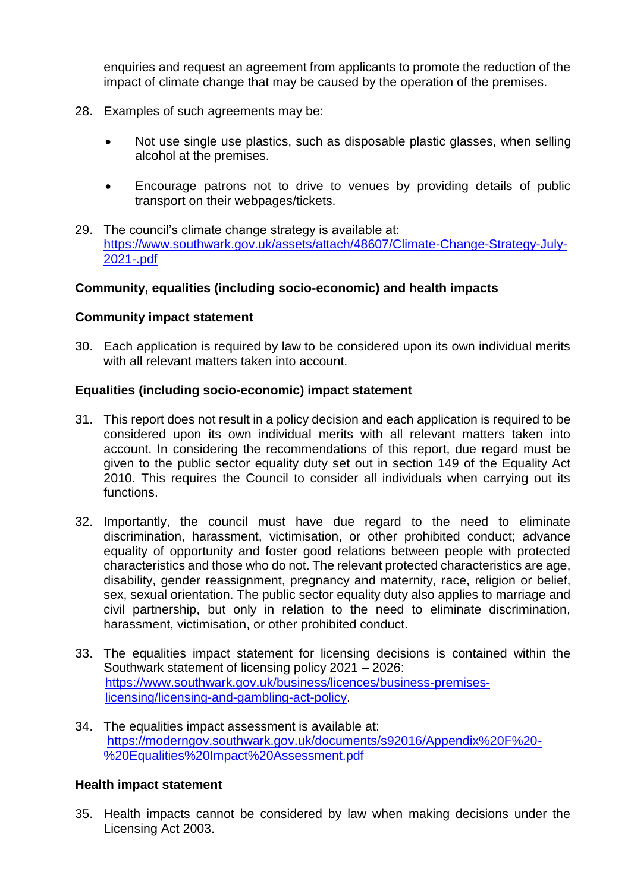enquiries and request an agreement from applicants to promote the reduction of the impact of climate change that may be caused by the operation of the premises.

- 28. Examples of such agreements may be:
	- Not use single use plastics, such as disposable plastic glasses, when selling alcohol at the premises.
	- Encourage patrons not to drive to venues by providing details of public transport on their webpages/tickets.
- 29. The council's climate change strategy is available at: [https://www.southwark.gov.uk/assets/attach/48607/Climate-Change-Strategy-July-](https://www.southwark.gov.uk/assets/attach/48607/Climate-Change-Strategy-July-2021-.pdf)[2021-.pdf](https://www.southwark.gov.uk/assets/attach/48607/Climate-Change-Strategy-July-2021-.pdf)

## **Community, equalities (including socio-economic) and health impacts**

## **Community impact statement**

30. Each application is required by law to be considered upon its own individual merits with all relevant matters taken into account.

## **Equalities (including socio-economic) impact statement**

- 31. This report does not result in a policy decision and each application is required to be considered upon its own individual merits with all relevant matters taken into account. In considering the recommendations of this report, due regard must be given to the public sector equality duty set out in section 149 of the Equality Act 2010. This requires the Council to consider all individuals when carrying out its functions.
- 32. Importantly, the council must have due regard to the need to eliminate discrimination, harassment, victimisation, or other prohibited conduct; advance equality of opportunity and foster good relations between people with protected characteristics and those who do not. The relevant protected characteristics are age, disability, gender reassignment, pregnancy and maternity, race, religion or belief, sex, sexual orientation. The public sector equality duty also applies to marriage and civil partnership, but only in relation to the need to eliminate discrimination, harassment, victimisation, or other prohibited conduct.
- 33. The equalities impact statement for licensing decisions is contained within the Southwark statement of licensing policy 2021 – 2026: [https://www.southwark.gov.uk/business/licences/business-premises](https://www.southwark.gov.uk/business/licences/business-premises-licensing/licensing-and-gambling-act-policy)[licensing/licensing-and-gambling-act-policy.](https://www.southwark.gov.uk/business/licences/business-premises-licensing/licensing-and-gambling-act-policy)
- 34. The equalities impact assessment is available at: [https://moderngov.southwark.gov.uk/documents/s92016/Appendix%20F%20-](https://moderngov.southwark.gov.uk/documents/s92016/Appendix%20F%20-%20Equalities%20Impact%20Assessment.pdf) [%20Equalities%20Impact%20Assessment.pdf](https://moderngov.southwark.gov.uk/documents/s92016/Appendix%20F%20-%20Equalities%20Impact%20Assessment.pdf)

## **Health impact statement**

35. Health impacts cannot be considered by law when making decisions under the Licensing Act 2003.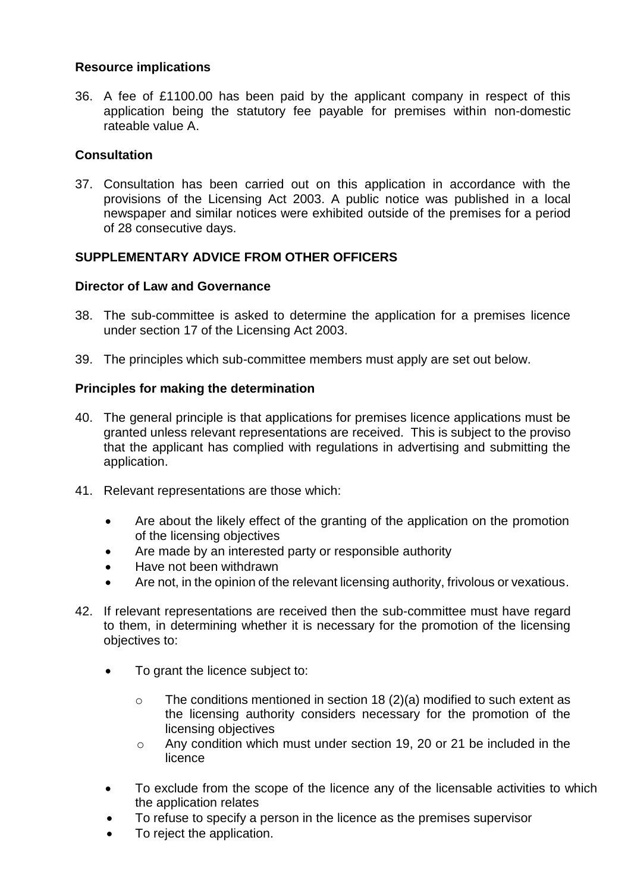## **Resource implications**

36. A fee of £1100.00 has been paid by the applicant company in respect of this application being the statutory fee payable for premises within non-domestic rateable value A.

## **Consultation**

37. Consultation has been carried out on this application in accordance with the provisions of the Licensing Act 2003. A public notice was published in a local newspaper and similar notices were exhibited outside of the premises for a period of 28 consecutive days.

# **SUPPLEMENTARY ADVICE FROM OTHER OFFICERS**

## **Director of Law and Governance**

- 38. The sub-committee is asked to determine the application for a premises licence under section 17 of the Licensing Act 2003.
- 39. The principles which sub-committee members must apply are set out below.

## **Principles for making the determination**

- 40. The general principle is that applications for premises licence applications must be granted unless relevant representations are received. This is subject to the proviso that the applicant has complied with regulations in advertising and submitting the application.
- 41. Relevant representations are those which:
	- Are about the likely effect of the granting of the application on the promotion of the licensing objectives
	- Are made by an interested party or responsible authority
	- Have not been withdrawn
	- Are not, in the opinion of the relevant licensing authority, frivolous or vexatious.
- 42. If relevant representations are received then the sub-committee must have regard to them, in determining whether it is necessary for the promotion of the licensing objectives to:
	- To grant the licence subject to:
		- $\circ$  The conditions mentioned in section 18 (2)(a) modified to such extent as the licensing authority considers necessary for the promotion of the licensing objectives
		- o Any condition which must under section 19, 20 or 21 be included in the licence
	- To exclude from the scope of the licence any of the licensable activities to which the application relates
	- To refuse to specify a person in the licence as the premises supervisor
	- To reject the application.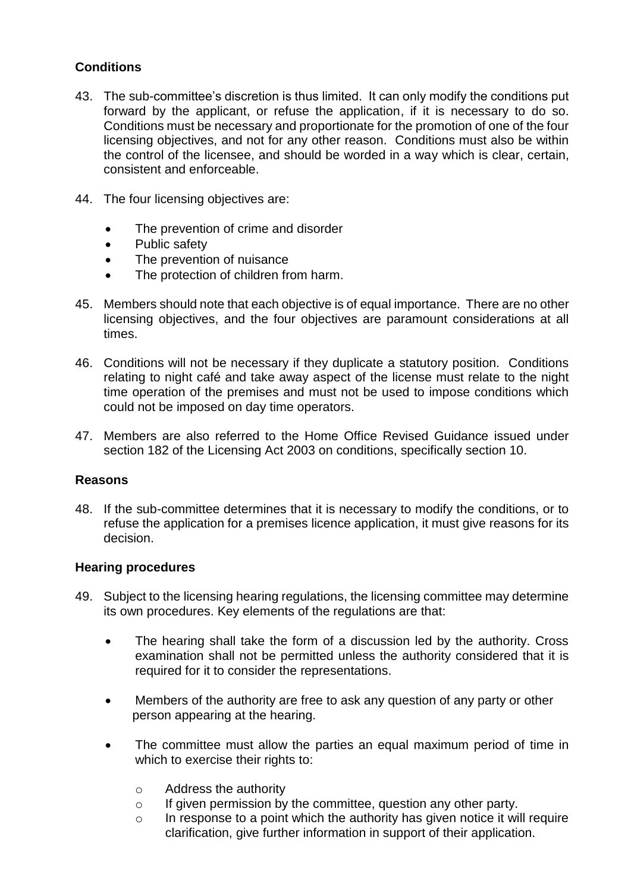# **Conditions**

- 43. The sub-committee's discretion is thus limited. It can only modify the conditions put forward by the applicant, or refuse the application, if it is necessary to do so. Conditions must be necessary and proportionate for the promotion of one of the four licensing objectives, and not for any other reason. Conditions must also be within the control of the licensee, and should be worded in a way which is clear, certain, consistent and enforceable.
- 44. The four licensing objectives are:
	- The prevention of crime and disorder
	- Public safety
	- The prevention of nuisance
	- The protection of children from harm.
- 45. Members should note that each objective is of equal importance. There are no other licensing objectives, and the four objectives are paramount considerations at all times.
- 46. Conditions will not be necessary if they duplicate a statutory position. Conditions relating to night café and take away aspect of the license must relate to the night time operation of the premises and must not be used to impose conditions which could not be imposed on day time operators.
- 47. Members are also referred to the Home Office Revised Guidance issued under section 182 of the Licensing Act 2003 on conditions, specifically section 10.

## **Reasons**

48. If the sub-committee determines that it is necessary to modify the conditions, or to refuse the application for a premises licence application, it must give reasons for its decision.

## **Hearing procedures**

- 49. Subject to the licensing hearing regulations, the licensing committee may determine its own procedures. Key elements of the regulations are that:
	- The hearing shall take the form of a discussion led by the authority. Cross examination shall not be permitted unless the authority considered that it is required for it to consider the representations.
	- Members of the authority are free to ask any question of any party or other person appearing at the hearing.
	- The committee must allow the parties an equal maximum period of time in which to exercise their rights to:
		- o Address the authority
		- o If given permission by the committee, question any other party.
		- o In response to a point which the authority has given notice it will require clarification, give further information in support of their application.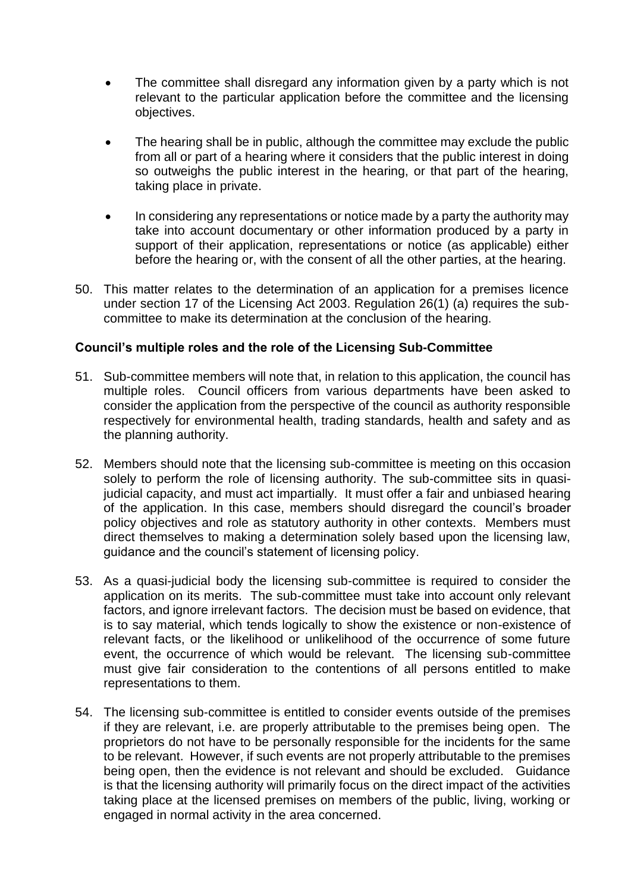- The committee shall disregard any information given by a party which is not relevant to the particular application before the committee and the licensing objectives.
- The hearing shall be in public, although the committee may exclude the public from all or part of a hearing where it considers that the public interest in doing so outweighs the public interest in the hearing, or that part of the hearing, taking place in private.
- In considering any representations or notice made by a party the authority may take into account documentary or other information produced by a party in support of their application, representations or notice (as applicable) either before the hearing or, with the consent of all the other parties, at the hearing.
- 50. This matter relates to the determination of an application for a premises licence under section 17 of the Licensing Act 2003. Regulation 26(1) (a) requires the subcommittee to make its determination at the conclusion of the hearing.

## **Council's multiple roles and the role of the Licensing Sub-Committee**

- 51. Sub-committee members will note that, in relation to this application, the council has multiple roles. Council officers from various departments have been asked to consider the application from the perspective of the council as authority responsible respectively for environmental health, trading standards, health and safety and as the planning authority.
- 52. Members should note that the licensing sub-committee is meeting on this occasion solely to perform the role of licensing authority. The sub-committee sits in quasijudicial capacity, and must act impartially. It must offer a fair and unbiased hearing of the application. In this case, members should disregard the council's broader policy objectives and role as statutory authority in other contexts. Members must direct themselves to making a determination solely based upon the licensing law, guidance and the council's statement of licensing policy.
- 53. As a quasi-judicial body the licensing sub-committee is required to consider the application on its merits. The sub-committee must take into account only relevant factors, and ignore irrelevant factors. The decision must be based on evidence, that is to say material, which tends logically to show the existence or non-existence of relevant facts, or the likelihood or unlikelihood of the occurrence of some future event, the occurrence of which would be relevant. The licensing sub-committee must give fair consideration to the contentions of all persons entitled to make representations to them.
- 54. The licensing sub-committee is entitled to consider events outside of the premises if they are relevant, i.e. are properly attributable to the premises being open. The proprietors do not have to be personally responsible for the incidents for the same to be relevant. However, if such events are not properly attributable to the premises being open, then the evidence is not relevant and should be excluded. Guidance is that the licensing authority will primarily focus on the direct impact of the activities taking place at the licensed premises on members of the public, living, working or engaged in normal activity in the area concerned.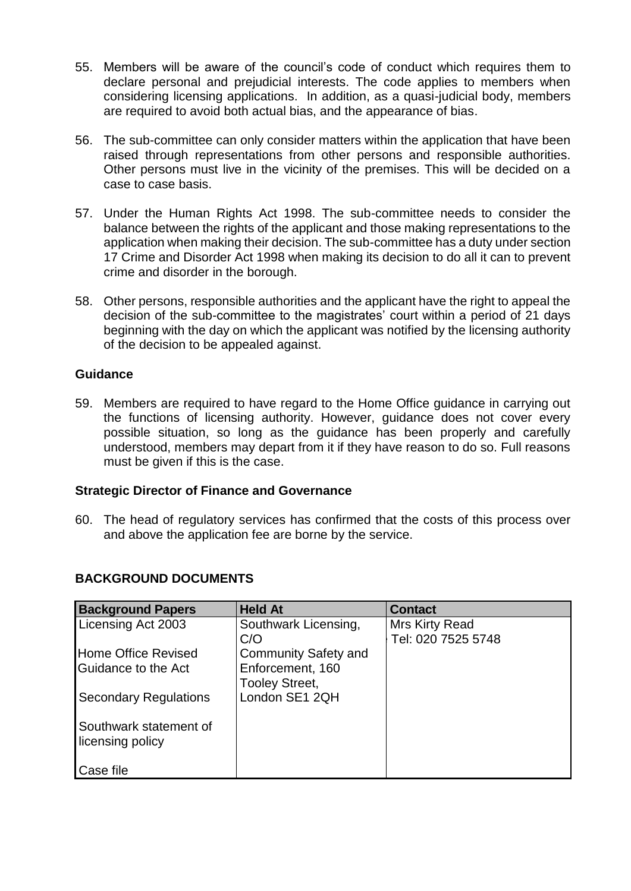- 55. Members will be aware of the council's code of conduct which requires them to declare personal and prejudicial interests. The code applies to members when considering licensing applications. In addition, as a quasi-judicial body, members are required to avoid both actual bias, and the appearance of bias.
- 56. The sub-committee can only consider matters within the application that have been raised through representations from other persons and responsible authorities. Other persons must live in the vicinity of the premises. This will be decided on a case to case basis.
- 57. Under the Human Rights Act 1998. The sub-committee needs to consider the balance between the rights of the applicant and those making representations to the application when making their decision. The sub-committee has a duty under section 17 Crime and Disorder Act 1998 when making its decision to do all it can to prevent crime and disorder in the borough.
- 58. Other persons, responsible authorities and the applicant have the right to appeal the decision of the sub-committee to the magistrates' court within a period of 21 days beginning with the day on which the applicant was notified by the licensing authority of the decision to be appealed against.

## **Guidance**

59. Members are required to have regard to the Home Office guidance in carrying out the functions of licensing authority. However, guidance does not cover every possible situation, so long as the guidance has been properly and carefully understood, members may depart from it if they have reason to do so. Full reasons must be given if this is the case.

## **Strategic Director of Finance and Governance**

60. The head of regulatory services has confirmed that the costs of this process over and above the application fee are borne by the service.

| <b>Background Papers</b>     | <b>Held At</b>              | <b>Contact</b>     |
|------------------------------|-----------------------------|--------------------|
| Licensing Act 2003           | Southwark Licensing,        | Mrs Kirty Read     |
|                              | C/O                         | Tel: 020 7525 5748 |
| Home Office Revised          | <b>Community Safety and</b> |                    |
| Guidance to the Act          | Enforcement, 160            |                    |
|                              | <b>Tooley Street,</b>       |                    |
| <b>Secondary Regulations</b> | London SE1 2QH              |                    |
|                              |                             |                    |
| Southwark statement of       |                             |                    |
| licensing policy             |                             |                    |
|                              |                             |                    |
| Case file                    |                             |                    |

# **BACKGROUND DOCUMENTS**